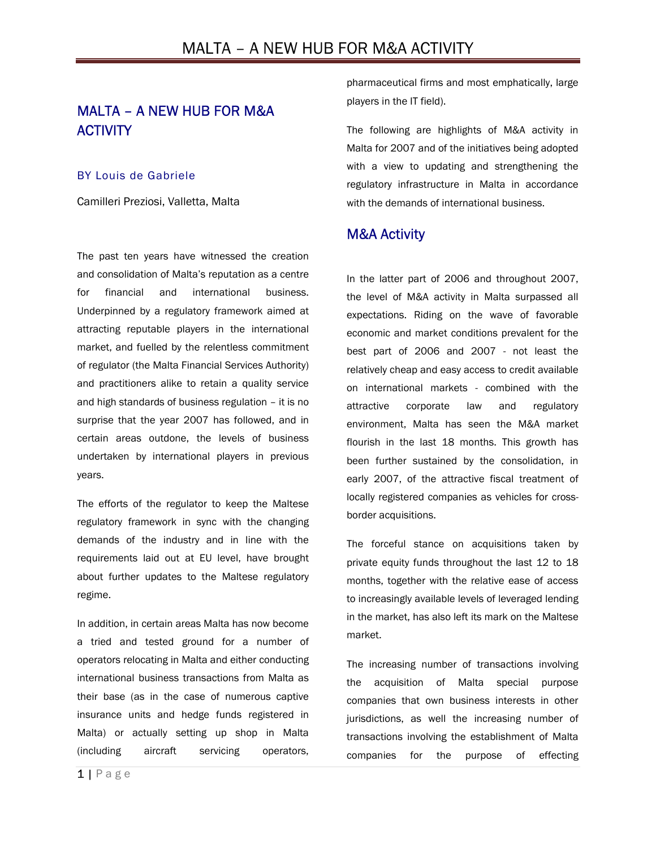# MALTA – A NEW HUB FOR M&A **ACTIVITY**

#### BY Louis de Gabriele

Camilleri Preziosi, Valletta, Malta

The past ten years have witnessed the creation and consolidation of Malta's reputation as a centre for financial and international business. Underpinned by a regulatory framework aimed at attracting reputable players in the international market, and fuelled by the relentless commitment of regulator (the Malta Financial Services Authority) and practitioners alike to retain a quality service and high standards of business regulation – it is no surprise that the year 2007 has followed, and in certain areas outdone, the levels of business undertaken by international players in previous years.

The efforts of the regulator to keep the Maltese regulatory framework in sync with the changing demands of the industry and in line with the requirements laid out at EU level, have brought about further updates to the Maltese regulatory regime.

In addition, in certain areas Malta has now become a tried and tested ground for a number of operators relocating in Malta and either conducting international business transactions from Malta as their base (as in the case of numerous captive insurance units and hedge funds registered in Malta) or actually setting up shop in Malta (including aircraft servicing operators,

pharmaceutical firms and most emphatically, large players in the IT field).

The following are highlights of M&A activity in Malta for 2007 and of the initiatives being adopted with a view to updating and strengthening the regulatory infrastructure in Malta in accordance with the demands of international business.

# M&A Activity

In the latter part of 2006 and throughout 2007, the level of M&A activity in Malta surpassed all expectations. Riding on the wave of favorable economic and market conditions prevalent for the best part of 2006 and 2007 - not least the relatively cheap and easy access to credit available on international markets - combined with the attractive corporate law and regulatory environment, Malta has seen the M&A market flourish in the last 18 months. This growth has been further sustained by the consolidation, in early 2007, of the attractive fiscal treatment of locally registered companies as vehicles for crossborder acquisitions.

The forceful stance on acquisitions taken by private equity funds throughout the last 12 to 18 months, together with the relative ease of access to increasingly available levels of leveraged lending in the market, has also left its mark on the Maltese market.

The increasing number of transactions involving the acquisition of Malta special purpose companies that own business interests in other jurisdictions, as well the increasing number of transactions involving the establishment of Malta companies for the purpose of effecting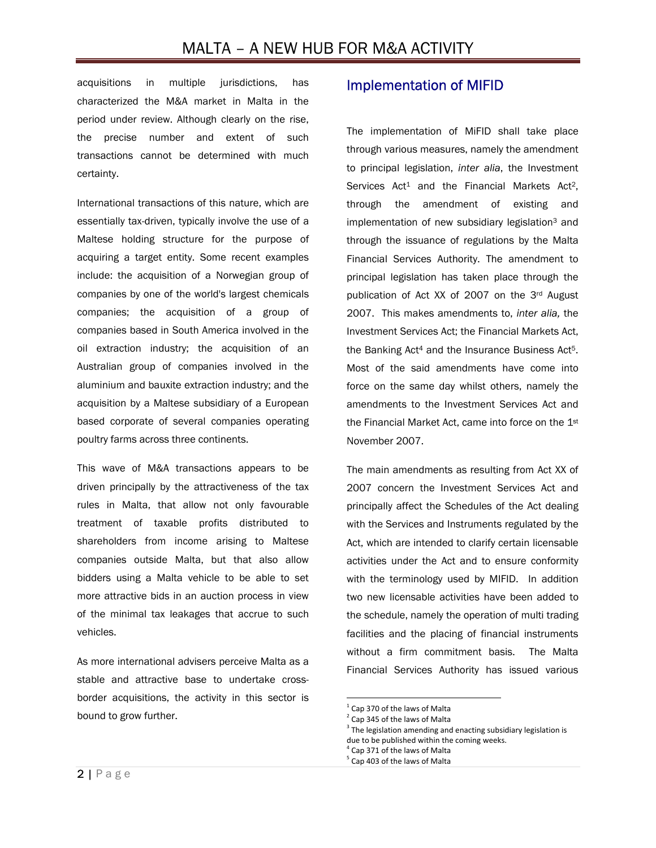acquisitions in multiple jurisdictions, has characterized the M&A market in Malta in the period under review. Although clearly on the rise, the precise number and extent of such transactions cannot be determined with much certainty.

International transactions of this nature, which are essentially tax-driven, typically involve the use of a Maltese holding structure for the purpose of acquiring a target entity. Some recent examples include: the acquisition of a Norwegian group of companies by one of the world's largest chemicals companies; the acquisition of a group of companies based in South America involved in the oil extraction industry; the acquisition of an Australian group of companies involved in the aluminium and bauxite extraction industry; and the acquisition by a Maltese subsidiary of a European based corporate of several companies operating poultry farms across three continents.

This wave of M&A transactions appears to be driven principally by the attractiveness of the tax rules in Malta, that allow not only favourable treatment of taxable profits distributed to shareholders from income arising to Maltese companies outside Malta, but that also allow bidders using a Malta vehicle to be able to set more attractive bids in an auction process in view of the minimal tax leakages that accrue to such vehicles.

As more international advisers perceive Malta as a stable and attractive base to undertake crossborder acquisitions, the activity in this sector is bound to grow further.

### Implementation of MIFID

The implementation of MiFID shall take place through various measures, namely the amendment to principal legislation, *inter alia*, the Investment Services  $Act<sup>1</sup>$  and the Financial Markets Act<sup>2</sup>, through the amendment of existing and implementation of new subsidiary legislation<sup>3</sup> and through the issuance of regulations by the Malta Financial Services Authority. The amendment to principal legislation has taken place through the publication of Act XX of 2007 on the 3rd August 2007. This makes amendments to, *inter alia,* the Investment Services Act; the Financial Markets Act, the Banking Act[4](#page-1-3) and the Insurance Business Act[5.](#page-1-4) Most of the said amendments have come into force on the same day whilst others, namely the amendments to the Investment Services Act and the Financial Market Act, came into force on the 1st November 2007.

The main amendments as resulting from Act XX of 2007 concern the Investment Services Act and principally affect the Schedules of the Act dealing with the Services and Instruments regulated by the Act, which are intended to clarify certain licensable activities under the Act and to ensure conformity with the terminology used by MIFID. In addition two new licensable activities have been added to the schedule, namely the operation of multi trading facilities and the placing of financial instruments without a firm commitment basis. The Malta Financial Services Authority has issued various

- <span id="page-1-2"></span> $3$  The legislation amending and enacting subsidiary legislation is due to be published within the coming weeks.
- <span id="page-1-3"></span> $<sup>4</sup>$  Cap 371 of the laws of Malta</sup>
- <span id="page-1-4"></span> $<sup>5</sup>$  Cap 403 of the laws of Malta</sup>

<span id="page-1-0"></span> $1$  Cap 370 of the laws of Malta

<span id="page-1-1"></span> $2$  Cap 345 of the laws of Malta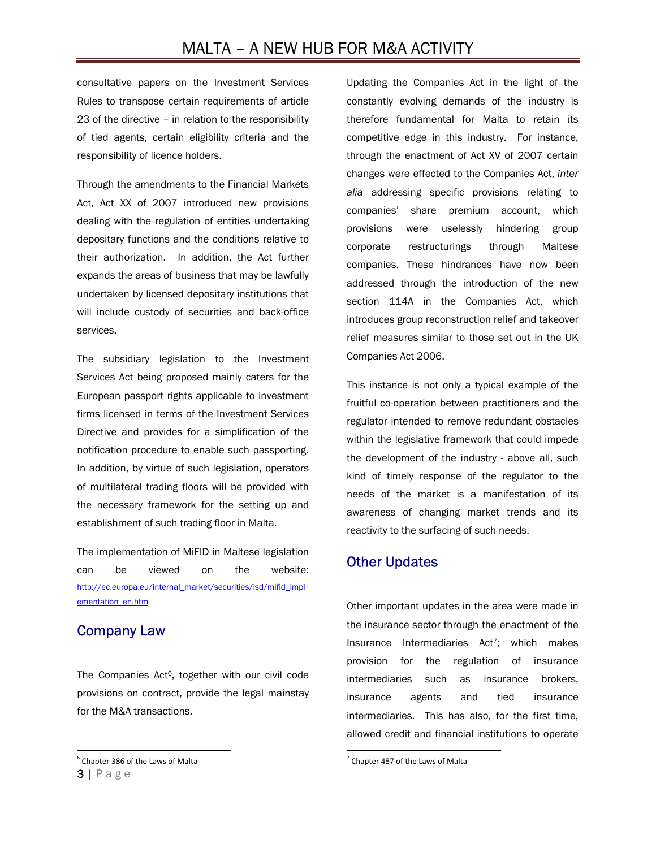# MALTA – A NEW HUB FOR M&A ACTIVITY

consultative papers on the Investment Services Rules to transpose certain requirements of article 23 of the directive – in relation to the responsibility of tied agents, certain eligibility criteria and the responsibility of licence holders.

Through the amendments to the Financial Markets Act, Act XX of 2007 introduced new provisions dealing with the regulation of entities undertaking depositary functions and the conditions relative to their authorization. In addition, the Act further expands the areas of business that may be lawfully undertaken by licensed depositary institutions that will include custody of securities and back-office services.

The subsidiary legislation to the Investment Services Act being proposed mainly caters for the European passport rights applicable to investment firms licensed in terms of the Investment Services Directive and provides for a simplification of the notification procedure to enable such passporting. In addition, by virtue of such legislation, operators of multilateral trading floors will be provided with the necessary framework for the setting up and establishment of such trading floor in Malta.

The implementation of MiFID in Maltese legislation can be viewed on the website: [http://ec.europa.eu/internal\\_market/securities/isd/mifid\\_impl](http://ec.europa.eu/internal_market/securities/isd/mifid_implementation_en.htm) [ementation\\_en.htm](http://ec.europa.eu/internal_market/securities/isd/mifid_implementation_en.htm)

### Company Law

The Companies Act[6,](#page-2-0) together with our civil code provisions on contract, provide the legal mainstay for the M&A transactions.

Updating the Companies Act in the light of the constantly evolving demands of the industry is therefore fundamental for Malta to retain its competitive edge in this industry. For instance, through the enactment of Act XV of 2007 certain changes were effected to the Companies Act, *inter alia* addressing specific provisions relating to companies' share premium account, which provisions were uselessly hindering group corporate restructurings through Maltese companies. These hindrances have now been addressed through the introduction of the new section 114A in the Companies Act, which introduces group reconstruction relief and takeover relief measures similar to those set out in the UK Companies Act 2006.

This instance is not only a typical example of the fruitful co-operation between practitioners and the regulator intended to remove redundant obstacles within the legislative framework that could impede the development of the industry - above all, such kind of timely response of the regulator to the needs of the market is a manifestation of its awareness of changing market trends and its reactivity to the surfacing of such needs.

### Other Updates

Other important updates in the area were made in the insurance sector through the enactment of the Insurance Intermediaries Act[7;](#page-2-1) which makes provision for the regulation of insurance intermediaries such as insurance brokers, insurance agents and tied insurance intermediaries. This has also, for the first time, allowed credit and financial institutions to operate

<span id="page-2-1"></span> $<sup>7</sup>$  Chapter 487 of the Laws of Malta</sup>

<span id="page-2-0"></span>3 | Page  $6$  Chapter 386 of the Laws of Malta